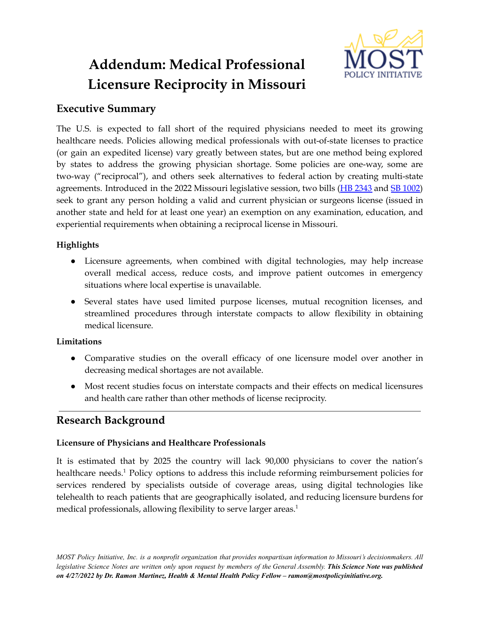# **Addendum: Medical Professional Licensure Reciprocity in Missouri**



# **Executive Summary**

The U.S. is expected to fall short of the required physicians needed to meet its growing healthcare needs. Policies allowing medical professionals with out-of-state licenses to practice (or gain an expedited license) vary greatly between states, but are one method being explored by states to address the growing physician shortage. Some policies are one-way, some are two-way ("reciprocal"), and others seek alternatives to federal action by creating multi-state agreements. Introduced in the 2022 Missouri legislative session, two bills (HB [2343](https://house.mo.gov/Bill.aspx?bill=HB2343&year=2022&code=R) and SB [1002\)](https://www.senate.mo.gov/22info/BTS_Web/Bill.aspx?SessionType=R&BillID=72259758) seek to grant any person holding a valid and current physician or surgeons license (issued in another state and held for at least one year) an exemption on any examination, education, and experiential requirements when obtaining a reciprocal license in Missouri.

## **Highlights**

- Licensure agreements, when combined with digital technologies, may help increase overall medical access, reduce costs, and improve patient outcomes in emergency situations where local expertise is unavailable.
- Several states have used limited purpose licenses, mutual recognition licenses, and streamlined procedures through interstate compacts to allow flexibility in obtaining medical licensure.

## **Limitations**

- Comparative studies on the overall efficacy of one licensure model over another in decreasing medical shortages are not available.
- Most recent studies focus on interstate compacts and their effects on medical licensures and health care rather than other methods of license reciprocity.

# **Research Background**

## **Licensure of Physicians and Healthcare Professionals**

It is estimated that by 2025 the country will lack 90,000 physicians to cover the nation's healthcare needs.<sup>1</sup> Policy options to address this include reforming reimbursement policies for services rendered by specialists outside of coverage areas, using digital technologies like telehealth to reach patients that are geographically isolated, and reducing licensure burdens for medical professionals, allowing flexibility to serve larger areas. 1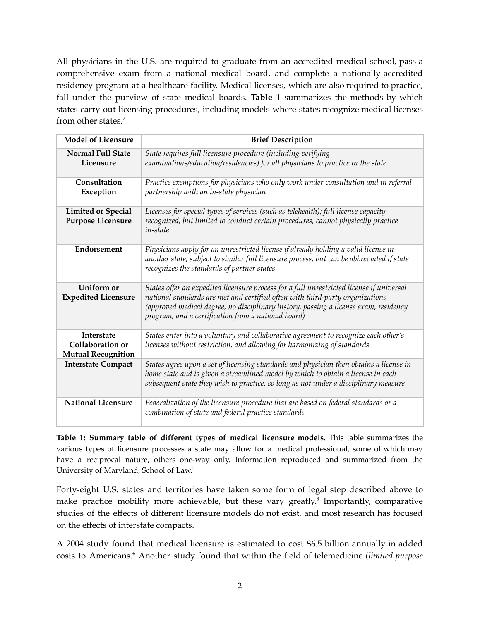All physicians in the U.S. are required to graduate from an accredited medical school, pass a comprehensive exam from a national medical board, and complete a nationally-accredited residency program at a healthcare facility. Medical licenses, which are also required to practice, fall under the purview of state medical boards. **Table 1** summarizes the methods by which states carry out licensing procedures, including models where states recognize medical licenses from other states. 2

| <b>Model of Licensure</b>                                          | <b>Brief Description</b>                                                                                                                                                                                                                                                                                                 |
|--------------------------------------------------------------------|--------------------------------------------------------------------------------------------------------------------------------------------------------------------------------------------------------------------------------------------------------------------------------------------------------------------------|
| <b>Normal Full State</b><br>Licensure                              | State requires full licensure procedure (including verifying<br>examinations/education/residencies) for all physicians to practice in the state                                                                                                                                                                          |
| Consultation<br>Exception                                          | Practice exemptions for physicians who only work under consultation and in referral<br>partnership with an in-state physician                                                                                                                                                                                            |
| <b>Limited or Special</b><br><b>Purpose Licensure</b>              | Licenses for special types of services (such as telehealth); full license capacity<br>recognized, but limited to conduct certain procedures, cannot physically practice<br><i>in-state</i>                                                                                                                               |
| Endorsement                                                        | Physicians apply for an unrestricted license if already holding a valid license in<br>another state; subject to similar full licensure process, but can be abbreviated if state<br>recognizes the standards of partner states                                                                                            |
| Uniform or<br><b>Expedited Licensure</b>                           | States offer an expedited licensure process for a full unrestricted license if universal<br>national standards are met and certified often with third-party organizations<br>(approved medical degree, no disciplinary history, passing a license exam, residency<br>program, and a certification from a national board) |
| <b>Interstate</b><br>Collaboration or<br><b>Mutual Recognition</b> | States enter into a voluntary and collaborative agreement to recognize each other's<br>licenses without restriction, and allowing for harmonizing of standards                                                                                                                                                           |
| <b>Interstate Compact</b>                                          | States agree upon a set of licensing standards and physician then obtains a license in<br>home state and is given a streamlined model by which to obtain a license in each<br>subsequent state they wish to practice, so long as not under a disciplinary measure                                                        |
| <b>National Licensure</b>                                          | Federalization of the licensure procedure that are based on federal standards or a<br>combination of state and federal practice standards                                                                                                                                                                                |

**Table 1: Summary table of different types of medical licensure models.** This table summarizes the various types of licensure processes a state may allow for a medical professional, some of which may have a reciprocal nature, others one-way only. Information reproduced and summarized from the University of Maryland, School of Law.<sup>2</sup>

Forty-eight U.S. states and territories have taken some form of legal step described above to make practice mobility more achievable, but these vary greatly. 3 Importantly, comparative studies of the effects of different licensure models do not exist, and most research has focused on the effects of interstate compacts.

A 2004 study found that medical licensure is estimated to cost \$6.5 billion annually in added costs to Americans. <sup>4</sup> Another study found that within the field of telemedicine (*limited purpose*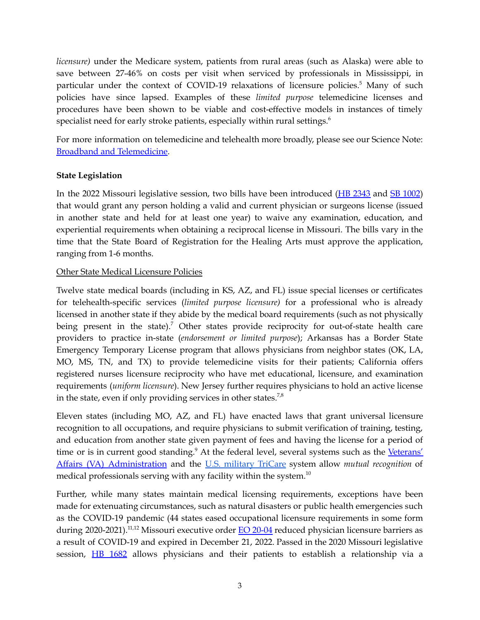*licensure)* under the Medicare system, patients from rural areas (such as Alaska) were able to save between 27-46% on costs per visit when serviced by professionals in Mississippi, in particular under the context of COVID-19 relaxations of licensure policies.<sup>5</sup> Many of such policies have since lapsed. Examples of these *limited purpose* telemedicine licenses and procedures have been shown to be viable and cost-effective models in instances of timely specialist need for early stroke patients, especially within rural settings. 6

For more information on telemedicine and telehealth more broadly, please see our Science Note: Broadband and [Telemedicine.](https://mostpolicyinitiative.org/science-note/broadband-and-telemedicine/)

#### **State Legislation**

In the 2022 Missouri legislative session, two bills have been introduced (HB [2343](https://house.mo.gov/Bill.aspx?bill=HB2343&year=2022&code=R) and SB [1002](https://www.senate.mo.gov/22info/BTS_Web/Bill.aspx?SessionType=R&BillID=72259758)) that would grant any person holding a valid and current physician or surgeons license (issued in another state and held for at least one year) to waive any examination, education, and experiential requirements when obtaining a reciprocal license in Missouri. The bills vary in the time that the State Board of Registration for the Healing Arts must approve the application, ranging from 1-6 months.

#### Other State Medical Licensure Policies

Twelve state medical boards (including in KS, AZ, and FL) issue special licenses or certificates for telehealth-specific services (*limited purpose licensure)* for a professional who is already licensed in another state if they abide by the medical board requirements (such as not physically being present in the state).<sup>7</sup> Other states provide reciprocity for out-of-state health care providers to practice in-state (*endorsement or limited purpose*); Arkansas has a Border State Emergency Temporary License program that allows physicians from neighbor states (OK, LA, MO, MS, TN, and TX) to provide telemedicine visits for their patients; California offers registered nurses licensure reciprocity who have met educational, licensure, and examination requirements (*uniform licensure*). New Jersey further requires physicians to hold an active license in the state, even if only providing services in other states.<sup>7,8</sup>

Eleven states (including MO, AZ, and FL) have enacted laws that grant universal licensure recognition to all occupations, and require physicians to submit verification of training, testing, and education from another state given payment of fees and having the license for a period of time or is in current good standing.<sup>9</sup> At the federal level, several systems such as the [Veterans'](https://www.congress.gov/bill/115th-congress/senate-bill/2372/text) Affairs (VA) [Administration](https://www.congress.gov/bill/115th-congress/senate-bill/2372/text) and the U.S. [military](https://www.congress.gov/112/plaws/publ81/PLAW-112publ81.pdf) TriCare system allow *mutual recognition* of medical professionals serving with any facility within the system.<sup>10</sup>

Further, while many states maintain medical licensing requirements, exceptions have been made for extenuating circumstances, such as natural disasters or public health emergencies such as the COVID-19 pandemic (44 states eased occupational licensure requirements in some form during 2020-2021).<sup>11,12</sup> Missouri executive order <u>EO [20-04](https://www.sos.mo.gov/library/reference/orders/2020/eo4)</u> reduced physician licensure barriers as a result of COVID-19 and expired in December 21, 2022. Passed in the 2020 Missouri legislative session, HB [1682](https://house.mo.gov/Bill.aspx?bill=HB1682&year=2020&code=R) allows physicians and their patients to establish a relationship via a